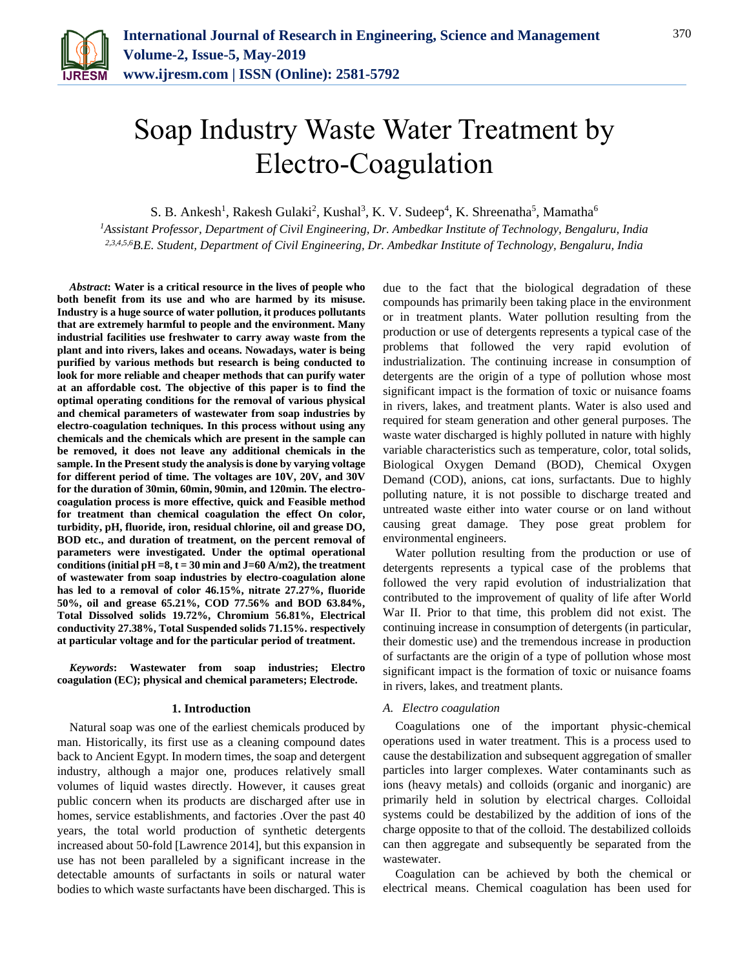

# Soap Industry Waste Water Treatment by Electro-Coagulation

S. B. Ankesh<sup>1</sup>, Rakesh Gulaki<sup>2</sup>, Kushal<sup>3</sup>, K. V. Sudeep<sup>4</sup>, K. Shreenatha<sup>5</sup>, Mamatha<sup>6</sup>

*<sup>1</sup>Assistant Professor, Department of Civil Engineering, Dr. Ambedkar Institute of Technology, Bengaluru, India 2,3,4,5,6B.E. Student, Department of Civil Engineering, Dr. Ambedkar Institute of Technology, Bengaluru, India*

*Abstract***: Water is a critical resource in the lives of people who both benefit from its use and who are harmed by its misuse. Industry is a huge source of water pollution, it produces pollutants that are extremely harmful to people and the environment. Many industrial facilities use freshwater to carry away waste from the plant and into rivers, lakes and oceans. Nowadays, water is being purified by various methods but research is being conducted to look for more reliable and cheaper methods that can purify water at an affordable cost. The objective of this paper is to find the optimal operating conditions for the removal of various physical and chemical parameters of wastewater from soap industries by electro-coagulation techniques. In this process without using any chemicals and the chemicals which are present in the sample can be removed, it does not leave any additional chemicals in the sample. In the Present study the analysis is done by varying voltage for different period of time. The voltages are 10V, 20V, and 30V for the duration of 30min, 60min, 90min, and 120min. The electrocoagulation process is more effective, quick and Feasible method for treatment than chemical coagulation the effect On color, turbidity, pH, fluoride, iron, residual chlorine, oil and grease DO, BOD etc., and duration of treatment, on the percent removal of parameters were investigated. Under the optimal operational**  conditions (initial  $pH = 8$ ,  $t = 30$  min and  $J = 60$  A/m2), the treatment **of wastewater from soap industries by electro-coagulation alone has led to a removal of color 46.15%, nitrate 27.27%, fluoride 50%, oil and grease 65.21%, COD 77.56% and BOD 63.84%, Total Dissolved solids 19.72%, Chromium 56.81%, Electrical conductivity 27.38%, Total Suspended solids 71.15%. respectively at particular voltage and for the particular period of treatment.**

*Keywords***: Wastewater from soap industries; Electro coagulation (EC); physical and chemical parameters; Electrode.**

### **1. Introduction**

Natural soap was one of the earliest chemicals produced by man. Historically, its first use as a cleaning compound dates back to Ancient Egypt. In modern times, the soap and detergent industry, although a major one, produces relatively small volumes of liquid wastes directly. However, it causes great public concern when its products are discharged after use in homes, service establishments, and factories . Over the past 40 years, the total world production of synthetic detergents increased about 50-fold [Lawrence 2014], but this expansion in use has not been paralleled by a significant increase in the detectable amounts of surfactants in soils or natural water bodies to which waste surfactants have been discharged. This is due to the fact that the biological degradation of these compounds has primarily been taking place in the environment or in treatment plants. Water pollution resulting from the production or use of detergents represents a typical case of the problems that followed the very rapid evolution of industrialization. The continuing increase in consumption of detergents are the origin of a type of pollution whose most significant impact is the formation of toxic or nuisance foams in rivers, lakes, and treatment plants. Water is also used and required for steam generation and other general purposes. The waste water discharged is highly polluted in nature with highly variable characteristics such as temperature, color, total solids, Biological Oxygen Demand (BOD), Chemical Oxygen Demand (COD), anions, cat ions, surfactants. Due to highly polluting nature, it is not possible to discharge treated and untreated waste either into water course or on land without causing great damage. They pose great problem for environmental engineers.

Water pollution resulting from the production or use of detergents represents a typical case of the problems that followed the very rapid evolution of industrialization that contributed to the improvement of quality of life after World War II. Prior to that time, this problem did not exist. The continuing increase in consumption of detergents (in particular, their domestic use) and the tremendous increase in production of surfactants are the origin of a type of pollution whose most significant impact is the formation of toxic or nuisance foams in rivers, lakes, and treatment plants.

### *A. Electro coagulation*

Coagulations one of the important physic-chemical operations used in water treatment. This is a process used to cause the destabilization and subsequent aggregation of smaller particles into larger complexes. Water contaminants such as ions (heavy metals) and colloids (organic and inorganic) are primarily held in solution by electrical charges. Colloidal systems could be destabilized by the addition of ions of the charge opposite to that of the colloid. The destabilized colloids can then aggregate and subsequently be separated from the wastewater.

Coagulation can be achieved by both the chemical or electrical means. Chemical coagulation has been used for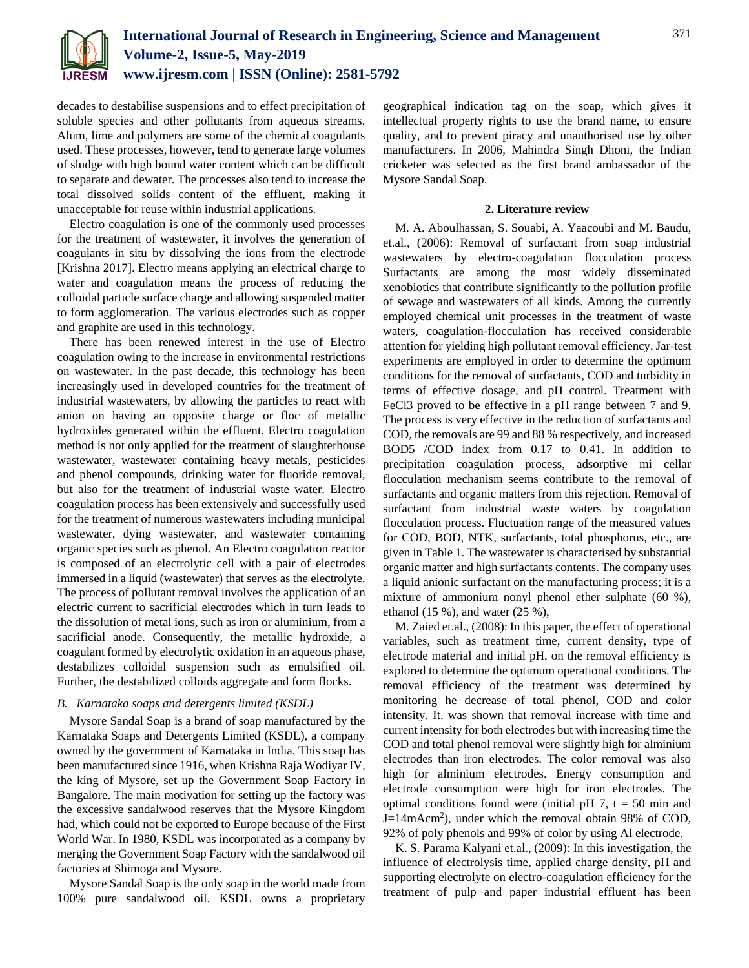

decades to destabilise suspensions and to effect precipitation of soluble species and other pollutants from aqueous streams. Alum, lime and polymers are some of the chemical coagulants used. These processes, however, tend to generate large volumes of sludge with high bound water content which can be difficult to separate and dewater. The processes also tend to increase the total dissolved solids content of the effluent, making it unacceptable for reuse within industrial applications.

Electro coagulation is one of the commonly used processes for the treatment of wastewater, it involves the generation of coagulants in situ by dissolving the ions from the electrode [Krishna 2017]. Electro means applying an electrical charge to water and coagulation means the process of reducing the colloidal particle surface charge and allowing suspended matter to form agglomeration. The various electrodes such as copper and graphite are used in this technology.

There has been renewed interest in the use of Electro coagulation owing to the increase in environmental restrictions on wastewater. In the past decade, this technology has been increasingly used in developed countries for the treatment of industrial wastewaters, by allowing the particles to react with anion on having an opposite charge or floc of metallic hydroxides generated within the effluent. Electro coagulation method is not only applied for the treatment of slaughterhouse wastewater, wastewater containing heavy metals, pesticides and phenol compounds, drinking water for fluoride removal, but also for the treatment of industrial waste water. Electro coagulation process has been extensively and successfully used for the treatment of numerous wastewaters including municipal wastewater, dying wastewater, and wastewater containing organic species such as phenol. An Electro coagulation reactor is composed of an electrolytic cell with a pair of electrodes immersed in a liquid (wastewater) that serves as the electrolyte. The process of pollutant removal involves the application of an electric current to sacrificial electrodes which in turn leads to the dissolution of metal ions, such as iron or aluminium, from a sacrificial anode. Consequently, the metallic hydroxide, a coagulant formed by electrolytic oxidation in an aqueous phase, destabilizes colloidal suspension such as emulsified oil. Further, the destabilized colloids aggregate and form flocks.

### *B. Karnataka soaps and detergents limited (KSDL)*

Mysore Sandal Soap is a brand of soap manufactured by the Karnataka Soaps and Detergents Limited (KSDL), a company owned by the government of Karnataka in India. This soap has been manufactured since 1916, when Krishna Raja Wodiyar IV, the king of Mysore, set up the Government Soap Factory in Bangalore. The main motivation for setting up the factory was the excessive sandalwood reserves that the Mysore Kingdom had, which could not be exported to Europe because of the First World War. In 1980, KSDL was incorporated as a company by merging the Government Soap Factory with the sandalwood oil factories at Shimoga and Mysore.

Mysore Sandal Soap is the only soap in the world made from 100% pure sandalwood oil. KSDL owns a proprietary geographical indication tag on the soap, which gives it intellectual property rights to use the brand name, to ensure quality, and to prevent piracy and unauthorised use by other manufacturers. In 2006, Mahindra Singh Dhoni, the Indian cricketer was selected as the first brand ambassador of the Mysore Sandal Soap.

### **2. Literature review**

M. A. Aboulhassan, S. Souabi, A. Yaacoubi and M. Baudu, et.al., (2006): Removal of surfactant from soap industrial wastewaters by electro-coagulation flocculation process Surfactants are among the most widely disseminated xenobiotics that contribute significantly to the pollution profile of sewage and wastewaters of all kinds. Among the currently employed chemical unit processes in the treatment of waste waters, coagulation-flocculation has received considerable attention for yielding high pollutant removal efficiency. Jar-test experiments are employed in order to determine the optimum conditions for the removal of surfactants, COD and turbidity in terms of effective dosage, and pH control. Treatment with FeCl3 proved to be effective in a pH range between 7 and 9. The process is very effective in the reduction of surfactants and COD, the removals are 99 and 88 % respectively, and increased BOD5 /COD index from 0.17 to 0.41. In addition to precipitation coagulation process, adsorptive mi cellar flocculation mechanism seems contribute to the removal of surfactants and organic matters from this rejection. Removal of surfactant from industrial waste waters by coagulation flocculation process. Fluctuation range of the measured values for COD, BOD, NTK, surfactants, total phosphorus, etc., are given in Table 1. The wastewater is characterised by substantial organic matter and high surfactants contents. The company uses a liquid anionic surfactant on the manufacturing process; it is a mixture of ammonium nonyl phenol ether sulphate (60 %), ethanol (15 %), and water (25 %),

M. Zaied et.al., (2008): In this paper, the effect of operational variables, such as treatment time, current density, type of electrode material and initial pH, on the removal efficiency is explored to determine the optimum operational conditions. The removal efficiency of the treatment was determined by monitoring he decrease of total phenol, COD and color intensity. It. was shown that removal increase with time and current intensity for both electrodes but with increasing time the COD and total phenol removal were slightly high for alminium electrodes than iron electrodes. The color removal was also high for alminium electrodes. Energy consumption and electrode consumption were high for iron electrodes. The optimal conditions found were (initial pH  $7$ ,  $t = 50$  min and J=14mAcm<sup>2</sup> ), under which the removal obtain 98% of COD, 92% of poly phenols and 99% of color by using Al electrode.

K. S. Parama Kalyani et.al., (2009): In this investigation, the influence of electrolysis time, applied charge density, pH and supporting electrolyte on electro-coagulation efficiency for the treatment of pulp and paper industrial effluent has been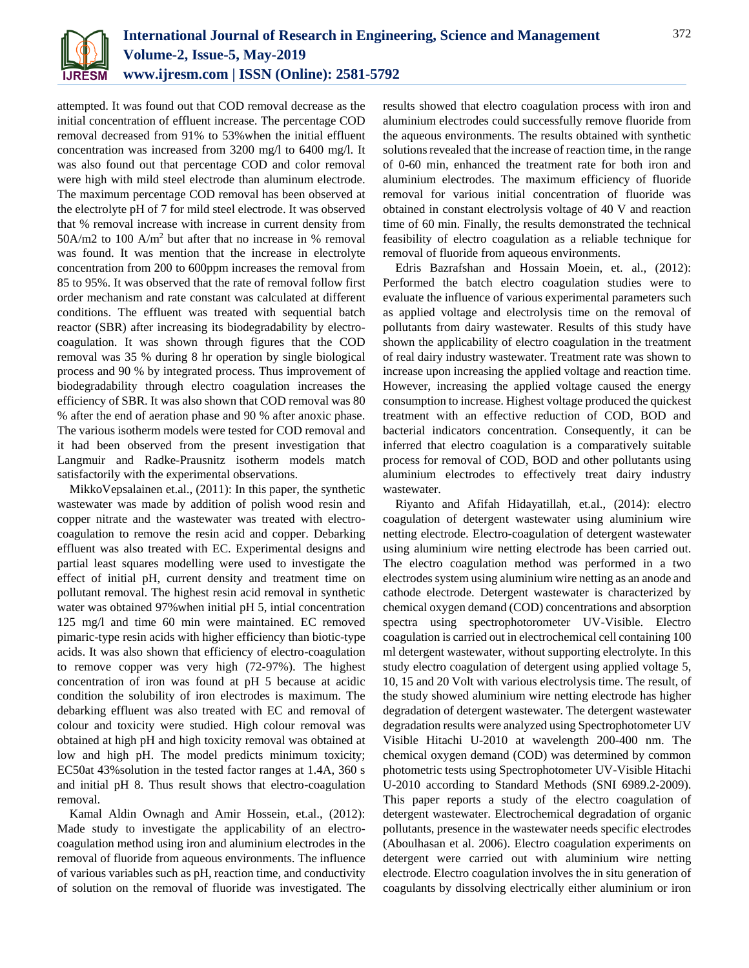

attempted. It was found out that COD removal decrease as the initial concentration of effluent increase. The percentage COD removal decreased from 91% to 53%when the initial effluent concentration was increased from 3200 mg/l to 6400 mg/l. It was also found out that percentage COD and color removal were high with mild steel electrode than aluminum electrode. The maximum percentage COD removal has been observed at the electrolyte pH of 7 for mild steel electrode. It was observed that % removal increase with increase in current density from 50A/m2 to 100 A/m<sup>2</sup> but after that no increase in % removal was found. It was mention that the increase in electrolyte concentration from 200 to 600ppm increases the removal from 85 to 95%. It was observed that the rate of removal follow first order mechanism and rate constant was calculated at different conditions. The effluent was treated with sequential batch reactor (SBR) after increasing its biodegradability by electrocoagulation. It was shown through figures that the COD removal was 35 % during 8 hr operation by single biological process and 90 % by integrated process. Thus improvement of biodegradability through electro coagulation increases the efficiency of SBR. It was also shown that COD removal was 80 % after the end of aeration phase and 90 % after anoxic phase. The various isotherm models were tested for COD removal and it had been observed from the present investigation that Langmuir and Radke-Prausnitz isotherm models match satisfactorily with the experimental observations.

MikkoVepsalainen et.al., (2011): In this paper, the synthetic wastewater was made by addition of polish wood resin and copper nitrate and the wastewater was treated with electrocoagulation to remove the resin acid and copper. Debarking effluent was also treated with EC. Experimental designs and partial least squares modelling were used to investigate the effect of initial pH, current density and treatment time on pollutant removal. The highest resin acid removal in synthetic water was obtained 97%when initial pH 5, intial concentration 125 mg/l and time 60 min were maintained. EC removed pimaric-type resin acids with higher efficiency than biotic-type acids. It was also shown that efficiency of electro-coagulation to remove copper was very high (72-97%). The highest concentration of iron was found at pH 5 because at acidic condition the solubility of iron electrodes is maximum. The debarking effluent was also treated with EC and removal of colour and toxicity were studied. High colour removal was obtained at high pH and high toxicity removal was obtained at low and high pH. The model predicts minimum toxicity; EC50at 43%solution in the tested factor ranges at 1.4A, 360 s and initial pH 8. Thus result shows that electro-coagulation removal.

Kamal Aldin Ownagh and Amir Hossein, et.al., (2012): Made study to investigate the applicability of an electrocoagulation method using iron and aluminium electrodes in the removal of fluoride from aqueous environments. The influence of various variables such as pH, reaction time, and conductivity of solution on the removal of fluoride was investigated. The results showed that electro coagulation process with iron and aluminium electrodes could successfully remove fluoride from the aqueous environments. The results obtained with synthetic solutions revealed that the increase of reaction time, in the range of 0-60 min, enhanced the treatment rate for both iron and aluminium electrodes. The maximum efficiency of fluoride removal for various initial concentration of fluoride was obtained in constant electrolysis voltage of 40 V and reaction time of 60 min. Finally, the results demonstrated the technical feasibility of electro coagulation as a reliable technique for removal of fluoride from aqueous environments.

Edris Bazrafshan and Hossain Moein, et. al., (2012): Performed the batch electro coagulation studies were to evaluate the influence of various experimental parameters such as applied voltage and electrolysis time on the removal of pollutants from dairy wastewater. Results of this study have shown the applicability of electro coagulation in the treatment of real dairy industry wastewater. Treatment rate was shown to increase upon increasing the applied voltage and reaction time. However, increasing the applied voltage caused the energy consumption to increase. Highest voltage produced the quickest treatment with an effective reduction of COD, BOD and bacterial indicators concentration. Consequently, it can be inferred that electro coagulation is a comparatively suitable process for removal of COD, BOD and other pollutants using aluminium electrodes to effectively treat dairy industry wastewater.

Riyanto and Afifah Hidayatillah, et.al., (2014): electro coagulation of detergent wastewater using aluminium wire netting electrode. Electro-coagulation of detergent wastewater using aluminium wire netting electrode has been carried out. The electro coagulation method was performed in a two electrodes system using aluminium wire netting as an anode and cathode electrode. Detergent wastewater is characterized by chemical oxygen demand (COD) concentrations and absorption spectra using spectrophotorometer UV-Visible. Electro coagulation is carried out in electrochemical cell containing 100 ml detergent wastewater, without supporting electrolyte. In this study electro coagulation of detergent using applied voltage 5, 10, 15 and 20 Volt with various electrolysis time. The result, of the study showed aluminium wire netting electrode has higher degradation of detergent wastewater. The detergent wastewater degradation results were analyzed using Spectrophotometer UV Visible Hitachi U-2010 at wavelength 200-400 nm. The chemical oxygen demand (COD) was determined by common photometric tests using Spectrophotometer UV-Visible Hitachi U-2010 according to Standard Methods (SNI 6989.2-2009). This paper reports a study of the electro coagulation of detergent wastewater. Electrochemical degradation of organic pollutants, presence in the wastewater needs specific electrodes (Aboulhasan et al. 2006). Electro coagulation experiments on detergent were carried out with aluminium wire netting electrode. Electro coagulation involves the in situ generation of coagulants by dissolving electrically either aluminium or iron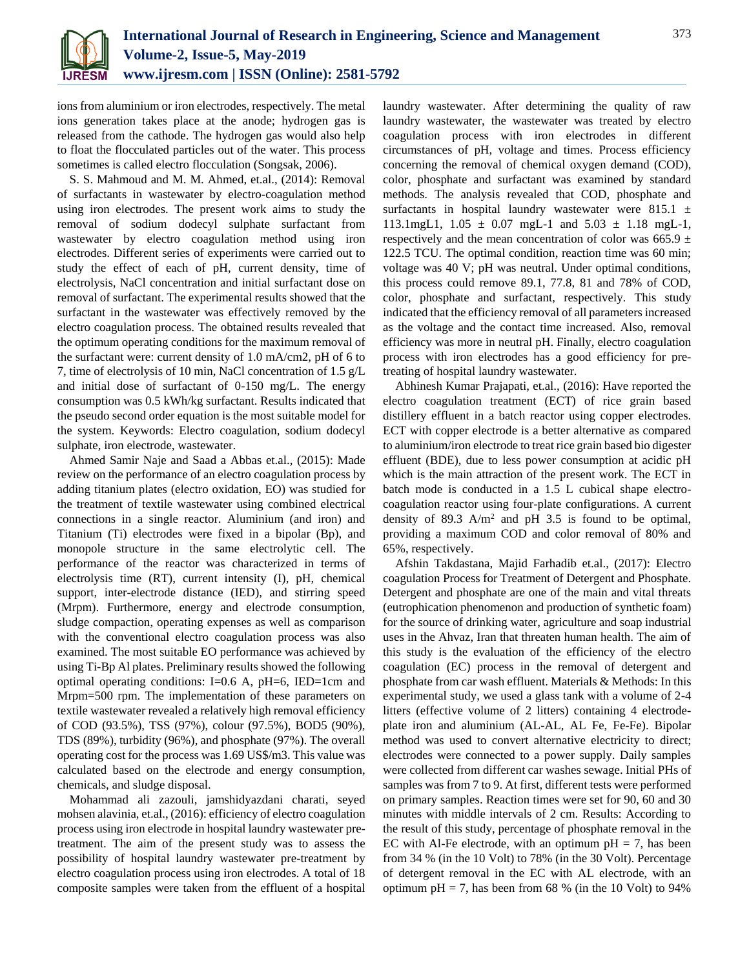

ions from aluminium or iron electrodes, respectively. The metal ions generation takes place at the anode; hydrogen gas is released from the cathode. The hydrogen gas would also help to float the flocculated particles out of the water. This process sometimes is called electro flocculation (Songsak, 2006).

S. S. Mahmoud and M. M. Ahmed, et.al., (2014): Removal of surfactants in wastewater by electro-coagulation method using iron electrodes. The present work aims to study the removal of sodium dodecyl sulphate surfactant from wastewater by electro coagulation method using iron electrodes. Different series of experiments were carried out to study the effect of each of pH, current density, time of electrolysis, NaCl concentration and initial surfactant dose on removal of surfactant. The experimental results showed that the surfactant in the wastewater was effectively removed by the electro coagulation process. The obtained results revealed that the optimum operating conditions for the maximum removal of the surfactant were: current density of 1.0 mA/cm2, pH of 6 to 7, time of electrolysis of 10 min, NaCl concentration of 1.5 g/L and initial dose of surfactant of 0-150 mg/L. The energy consumption was 0.5 kWh/kg surfactant. Results indicated that the pseudo second order equation is the most suitable model for the system. Keywords: Electro coagulation, sodium dodecyl sulphate, iron electrode, wastewater.

Ahmed Samir Naje and Saad a Abbas et.al., (2015): Made review on the performance of an electro coagulation process by adding titanium plates (electro oxidation, EO) was studied for the treatment of textile wastewater using combined electrical connections in a single reactor. Aluminium (and iron) and Titanium (Ti) electrodes were fixed in a bipolar (Bp), and monopole structure in the same electrolytic cell. The performance of the reactor was characterized in terms of electrolysis time (RT), current intensity (I), pH, chemical support, inter-electrode distance (IED), and stirring speed (Mrpm). Furthermore, energy and electrode consumption, sludge compaction, operating expenses as well as comparison with the conventional electro coagulation process was also examined. The most suitable EO performance was achieved by using Ti-Bp Al plates. Preliminary results showed the following optimal operating conditions: I=0.6 A, pH=6, IED=1cm and Mrpm=500 rpm. The implementation of these parameters on textile wastewater revealed a relatively high removal efficiency of COD (93.5%), TSS (97%), colour (97.5%), BOD5 (90%), TDS (89%), turbidity (96%), and phosphate (97%). The overall operating cost for the process was 1.69 US\$/m3. This value was calculated based on the electrode and energy consumption, chemicals, and sludge disposal.

Mohammad ali zazouli, jamshidyazdani charati, seyed mohsen alavinia, et.al., (2016): efficiency of electro coagulation process using iron electrode in hospital laundry wastewater pretreatment. The aim of the present study was to assess the possibility of hospital laundry wastewater pre-treatment by electro coagulation process using iron electrodes. A total of 18 composite samples were taken from the effluent of a hospital

laundry wastewater. After determining the quality of raw laundry wastewater, the wastewater was treated by electro coagulation process with iron electrodes in different circumstances of pH, voltage and times. Process efficiency concerning the removal of chemical oxygen demand (COD), color, phosphate and surfactant was examined by standard methods. The analysis revealed that COD, phosphate and surfactants in hospital laundry wastewater were 815.1  $\pm$ 113.1mgL1,  $1.05 \pm 0.07$  mgL-1 and  $5.03 \pm 1.18$  mgL-1, respectively and the mean concentration of color was 665.9  $\pm$ 122.5 TCU. The optimal condition, reaction time was 60 min; voltage was 40 V; pH was neutral. Under optimal conditions, this process could remove 89.1, 77.8, 81 and 78% of COD, color, phosphate and surfactant, respectively. This study indicated that the efficiency removal of all parameters increased as the voltage and the contact time increased. Also, removal efficiency was more in neutral pH. Finally, electro coagulation process with iron electrodes has a good efficiency for pretreating of hospital laundry wastewater.

Abhinesh Kumar Prajapati, et.al., (2016): Have reported the electro coagulation treatment (ECT) of rice grain based distillery effluent in a batch reactor using copper electrodes. ECT with copper electrode is a better alternative as compared to aluminium/iron electrode to treat rice grain based bio digester effluent (BDE), due to less power consumption at acidic pH which is the main attraction of the present work. The ECT in batch mode is conducted in a 1.5 L cubical shape electrocoagulation reactor using four-plate configurations. A current density of 89.3  $A/m^2$  and pH 3.5 is found to be optimal, providing a maximum COD and color removal of 80% and 65%, respectively.

Afshin Takdastana, Majid Farhadib et.al., (2017): Electro coagulation Process for Treatment of Detergent and Phosphate. Detergent and phosphate are one of the main and vital threats (eutrophication phenomenon and production of synthetic foam) for the source of drinking water, agriculture and soap industrial uses in the Ahvaz, Iran that threaten human health. The aim of this study is the evaluation of the efficiency of the electro coagulation (EC) process in the removal of detergent and phosphate from car wash effluent. Materials & Methods: In this experimental study, we used a glass tank with a volume of 2-4 litters (effective volume of 2 litters) containing 4 electrodeplate iron and aluminium (AL-AL, AL Fe, Fe-Fe). Bipolar method was used to convert alternative electricity to direct; electrodes were connected to a power supply. Daily samples were collected from different car washes sewage. Initial PHs of samples was from 7 to 9. At first, different tests were performed on primary samples. Reaction times were set for 90, 60 and 30 minutes with middle intervals of 2 cm. Results: According to the result of this study, percentage of phosphate removal in the EC with Al-Fe electrode, with an optimum  $pH = 7$ , has been from 34 % (in the 10 Volt) to 78% (in the 30 Volt). Percentage of detergent removal in the EC with AL electrode, with an optimum pH = 7, has been from 68 % (in the 10 Volt) to 94%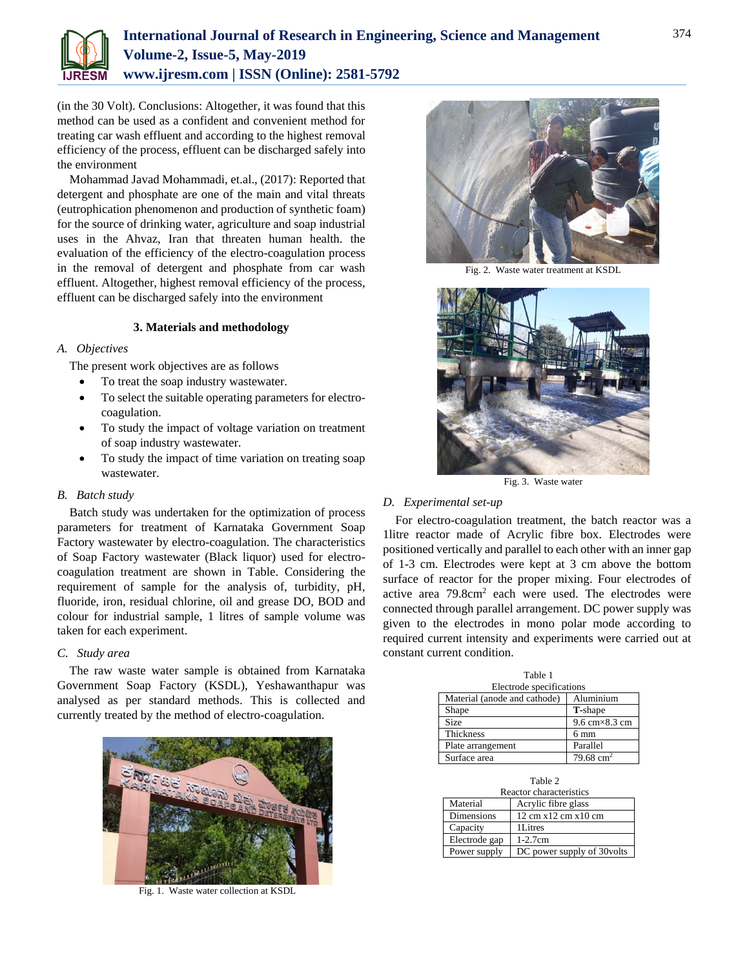

(in the 30 Volt). Conclusions: Altogether, it was found that this method can be used as a confident and convenient method for treating car wash effluent and according to the highest removal efficiency of the process, effluent can be discharged safely into the environment

Mohammad Javad Mohammadi, et.al., (2017): Reported that detergent and phosphate are one of the main and vital threats (eutrophication phenomenon and production of synthetic foam) for the source of drinking water, agriculture and soap industrial uses in the Ahvaz, Iran that threaten human health. the evaluation of the efficiency of the electro-coagulation process in the removal of detergent and phosphate from car wash effluent. Altogether, highest removal efficiency of the process, effluent can be discharged safely into the environment

### **3. Materials and methodology**

### *A. Objectives*

The present work objectives are as follows

- To treat the soap industry wastewater.
- To select the suitable operating parameters for electrocoagulation.
- To study the impact of voltage variation on treatment of soap industry wastewater.
- To study the impact of time variation on treating soap wastewater.

### *B. Batch study*

Batch study was undertaken for the optimization of process parameters for treatment of Karnataka Government Soap Factory wastewater by electro-coagulation. The characteristics of Soap Factory wastewater (Black liquor) used for electrocoagulation treatment are shown in Table. Considering the requirement of sample for the analysis of, turbidity, pH, fluoride, iron, residual chlorine, oil and grease DO, BOD and colour for industrial sample, 1 litres of sample volume was taken for each experiment.

### *C. Study area*

The raw waste water sample is obtained from Karnataka Government Soap Factory (KSDL), Yeshawanthapur was analysed as per standard methods. This is collected and currently treated by the method of electro-coagulation.



Fig. 1. Waste water collection at KSDL



Fig. 2. Waste water treatment at KSDL



Fig. 3. Waste water

### *D. Experimental set-up*

For electro-coagulation treatment, the batch reactor was a 1litre reactor made of Acrylic fibre box. Electrodes were positioned vertically and parallel to each other with an inner gap of 1-3 cm. Electrodes were kept at 3 cm above the bottom surface of reactor for the proper mixing. Four electrodes of active area 79.8cm<sup>2</sup> each were used. The electrodes were connected through parallel arrangement. DC power supply was given to the electrodes in mono polar mode according to required current intensity and experiments were carried out at constant current condition.

| Table 1<br>Electrode specifications |                                        |  |  |  |  |  |  |
|-------------------------------------|----------------------------------------|--|--|--|--|--|--|
| Material (anode and cathode)        | Aluminium                              |  |  |  |  |  |  |
| Shape                               | <b>T</b> -shape                        |  |  |  |  |  |  |
| <b>Size</b>                         | $9.6 \text{ cm} \times 8.3 \text{ cm}$ |  |  |  |  |  |  |
| <b>Thickness</b>                    | $6 \text{ mm}$                         |  |  |  |  |  |  |
| Plate arrangement                   | Parallel                               |  |  |  |  |  |  |
| Surface area                        | $79.68 \text{ cm}^2$                   |  |  |  |  |  |  |

| Table 2           |                            |  |  |  |  |  |
|-------------------|----------------------------|--|--|--|--|--|
|                   | Reactor characteristics    |  |  |  |  |  |
| Material          | Acrylic fibre glass        |  |  |  |  |  |
| <b>Dimensions</b> | 12 cm x12 cm x10 cm        |  |  |  |  |  |
| Capacity          | 1Litres                    |  |  |  |  |  |
| Electrode gap     | $1-2.7cm$                  |  |  |  |  |  |
| Power supply      | DC power supply of 30volts |  |  |  |  |  |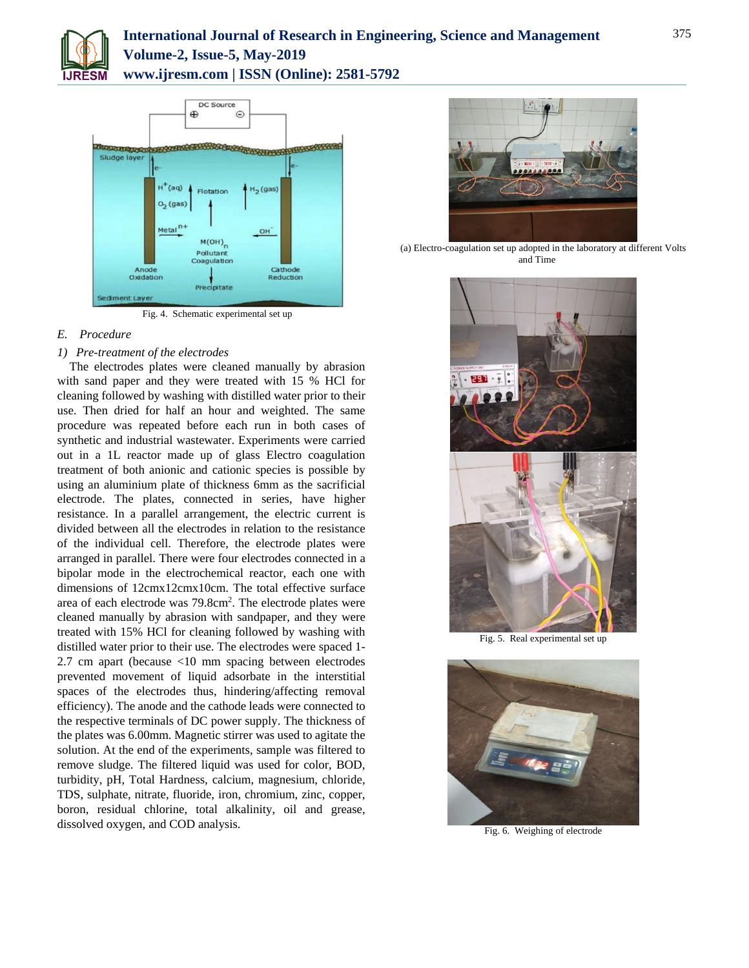

## **International Journal of Research in Engineering, Science and Management Volume-2, Issue-5, May-2019 www.ijresm.com | ISSN (Online): 2581-5792**



Fig. 4. Schematic experimental set up

### *E. Procedure*

### *1) Pre-treatment of the electrodes*

The electrodes plates were cleaned manually by abrasion with sand paper and they were treated with 15 % HCl for cleaning followed by washing with distilled water prior to their use. Then dried for half an hour and weighted. The same procedure was repeated before each run in both cases of synthetic and industrial wastewater. Experiments were carried out in a 1L reactor made up of glass Electro coagulation treatment of both anionic and cationic species is possible by using an aluminium plate of thickness 6mm as the sacrificial electrode. The plates, connected in series, have higher resistance. In a parallel arrangement, the electric current is divided between all the electrodes in relation to the resistance of the individual cell. Therefore, the electrode plates were arranged in parallel. There were four electrodes connected in a bipolar mode in the electrochemical reactor, each one with dimensions of 12cmx12cmx10cm. The total effective surface area of each electrode was 79.8cm<sup>2</sup>. The electrode plates were cleaned manually by abrasion with sandpaper, and they were treated with 15% HCl for cleaning followed by washing with distilled water prior to their use. The electrodes were spaced 1- 2.7 cm apart (because <10 mm spacing between electrodes prevented movement of liquid adsorbate in the interstitial spaces of the electrodes thus, hindering/affecting removal efficiency). The anode and the cathode leads were connected to the respective terminals of DC power supply. The thickness of the plates was 6.00mm. Magnetic stirrer was used to agitate the solution. At the end of the experiments, sample was filtered to remove sludge. The filtered liquid was used for color, BOD, turbidity, pH, Total Hardness, calcium, magnesium, chloride, TDS, sulphate, nitrate, fluoride, iron, chromium, zinc, copper, boron, residual chlorine, total alkalinity, oil and grease, dissolved oxygen, and COD analysis.



(a) Electro-coagulation set up adopted in the laboratory at different Volts and Time



Fig. 5. Real experimental set up



Fig. 6. Weighing of electrode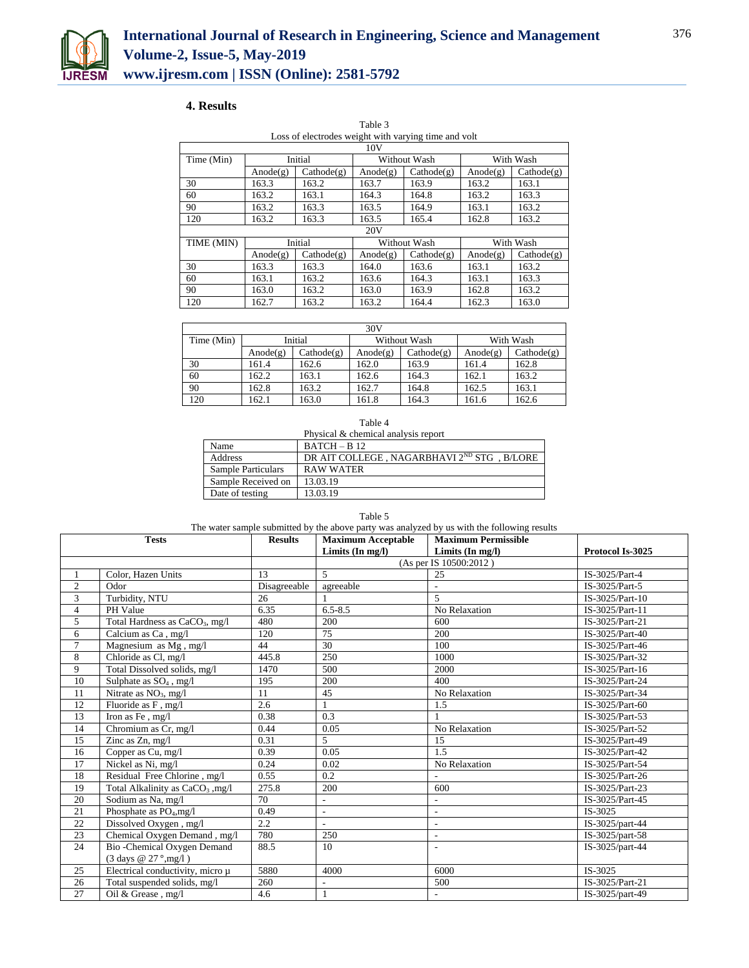

### **4. Results**

| Loss of electrodes weight with varying time and volt |             |            |             |              |             |            |  |  |  |
|------------------------------------------------------|-------------|------------|-------------|--------------|-------------|------------|--|--|--|
| 10V                                                  |             |            |             |              |             |            |  |  |  |
| Time (Min)                                           | Initial     |            |             | Without Wash | With Wash   |            |  |  |  |
|                                                      | Anode $(g)$ | Cathode(g) | Anode $(g)$ | Cathode(g)   | Anode $(g)$ | Cathode(g) |  |  |  |
| 30                                                   | 163.3       | 163.2      | 163.7       | 163.9        | 163.2       | 163.1      |  |  |  |
| 60                                                   | 163.2       | 163.1      | 164.3       | 164.8        | 163.2       | 163.3      |  |  |  |
| 90                                                   | 163.2       | 163.3      | 163.5       | 164.9        | 163.1       | 163.2      |  |  |  |
| 120                                                  | 163.2       | 163.3      | 163.5       | 165.4        | 162.8       | 163.2      |  |  |  |
|                                                      |             |            | 20V         |              |             |            |  |  |  |
| TIME (MIN)                                           |             | Initial    |             | Without Wash |             | With Wash  |  |  |  |
|                                                      | Anode $(g)$ | Cathode(g) | Anode(g)    | Cathode(g)   | Anode $(g)$ | Cathode(g) |  |  |  |
| 30                                                   | 163.3       | 163.3      | 164.0       | 163.6        | 163.1       | 163.2      |  |  |  |
| 60                                                   | 163.1       | 163.2      | 163.6       | 164.3        | 163.1       | 163.3      |  |  |  |
| 90                                                   | 163.0       | 163.2      | 163.0       | 163.9        | 162.8       | 163.2      |  |  |  |
| 120                                                  | 162.7       | 163.2      | 163.2       | 164.4        | 162.3       | 163.0      |  |  |  |

Table 3

| 30V        |                         |            |             |            |             |            |  |  |  |
|------------|-------------------------|------------|-------------|------------|-------------|------------|--|--|--|
| Time (Min) | Initial<br>Without Wash |            |             | With Wash  |             |            |  |  |  |
|            | Anode $(g)$             | Cathode(g) | Anode $(g)$ | Cathode(g) | Anode $(g)$ | Cathode(g) |  |  |  |
| 30         | 161.4                   | 162.6      | 162.0       | 163.9      | 161.4       | 162.8      |  |  |  |
| 60         | 162.2                   | 163.1      | 162.6       | 164.3      | 162.1       | 163.2      |  |  |  |
| 90         | 162.8                   | 163.2      | 162.7       | 164.8      | 162.5       | 163.1      |  |  |  |
| 120        | 162.1                   | 163.0      | 161.8       | 164.3      | 161.6       | 162.6      |  |  |  |

Physical & chemical analysis report

| Name               | $BATCH - B12$                                          |
|--------------------|--------------------------------------------------------|
| Address            | DR AIT COLLEGE, NAGARBHAVI 2 <sup>ND</sup> STG, B/LORE |
| Sample Particulars | RAW WATER                                              |
| Sample Received on | 13.03.19                                               |
| Date of testing    | 13.03.19                                               |

|                | <b>Tests</b>                                 | <b>Results</b> | <b>Maximum Acceptable</b> | <b>Maximum Permissible</b> |                  |
|----------------|----------------------------------------------|----------------|---------------------------|----------------------------|------------------|
|                |                                              |                | Limits (In mg/l)          | Limits $(In mg/l)$         | Protocol Is-3025 |
|                |                                              |                |                           | (As per IS 10500:2012)     |                  |
| $\mathbf{1}$   | Color, Hazen Units                           | 13             | 5                         | 25                         | IS-3025/Part-4   |
| 2              | Odor                                         | Disagreeable   | agreeable                 |                            | IS-3025/Part-5   |
| 3              | Turbidity, NTU                               | 26             |                           | 5                          | IS-3025/Part-10  |
| $\overline{4}$ | PH Value                                     | 6.35           | $6.5 - 8.5$               | No Relaxation              | IS-3025/Part-11  |
| 5              | Total Hardness as CaCO <sub>3</sub> , mg/l   | 480            | 200                       | 600                        | IS-3025/Part-21  |
| 6              | Calcium as Ca, mg/l                          | 120            | 75                        | 200                        | IS-3025/Part-40  |
| $\tau$         | Magnesium as Mg, mg/l                        | 44             | 30                        | 100                        | IS-3025/Part-46  |
| 8              | Chloride as Cl, mg/l                         | 445.8          | 250                       | 1000                       | IS-3025/Part-32  |
| 9              | Total Dissolved solids, mg/l                 | 1470           | 500                       | 2000                       | IS-3025/Part-16  |
| 10             | Sulphate as $SO_4$ , mg/l                    | 195            | 200                       | 400                        | IS-3025/Part-24  |
| 11             | Nitrate as $NO_3$ , mg/l                     | 11             | 45                        | No Relaxation              | IS-3025/Part-34  |
| 12             | Fluoride as F, mg/l                          | 2.6            |                           | 1.5                        | IS-3025/Part-60  |
| 13             | Iron as Fe, mg/l                             | 0.38           | 0.3                       |                            | IS-3025/Part-53  |
| 14             | Chromium as Cr, mg/l                         | 0.44           | 0.05                      | No Relaxation              | IS-3025/Part-52  |
| 15             | Zinc as Zn, mg/l                             | 0.31           | 5                         | 15                         | IS-3025/Part-49  |
| 16             | Copper as Cu, mg/l                           | 0.39           | 0.05                      | 1.5                        | IS-3025/Part-42  |
| 17             | Nickel as Ni, mg/l                           | 0.24           | 0.02                      | No Relaxation              | IS-3025/Part-54  |
| 18             | Residual Free Chlorine, mg/l                 | 0.55           | 0.2                       |                            | IS-3025/Part-26  |
| 19             | Total Alkalinity as CaCO <sub>3</sub> , mg/l | 275.8          | 200                       | 600                        | IS-3025/Part-23  |
| 20             | Sodium as Na, mg/l                           | 70             | $\overline{\phantom{0}}$  | $\overline{a}$             | IS-3025/Part-45  |
| 21             | Phosphate as PO <sub>4</sub> , mg/l          | 0.49           | ÷.                        | L,                         | IS-3025          |
| 22             | Dissolved Oxygen, mg/l                       | 2.2            | $\overline{a}$            | $\overline{\phantom{a}}$   | IS-3025/part-44  |
| 23             | Chemical Oxygen Demand, mg/l                 | 780            | 250                       | $\overline{\phantom{a}}$   | IS-3025/part-58  |
| 24             | Bio-Chemical Oxygen Demand                   | 88.5           | 10                        |                            | IS-3025/part-44  |
|                | (3 days @ 27 °,mg/l)                         |                |                           |                            |                  |
| 25             | Electrical conductivity, micro µ             | 5880           | 4000                      | 6000                       | IS-3025          |
| 26             | Total suspended solids, mg/l                 | 260            |                           | 500                        | IS-3025/Part-21  |
| 27             | Oil & Grease, mg/l                           | 4.6            |                           | $\overline{a}$             | IS-3025/part-49  |

### Table 5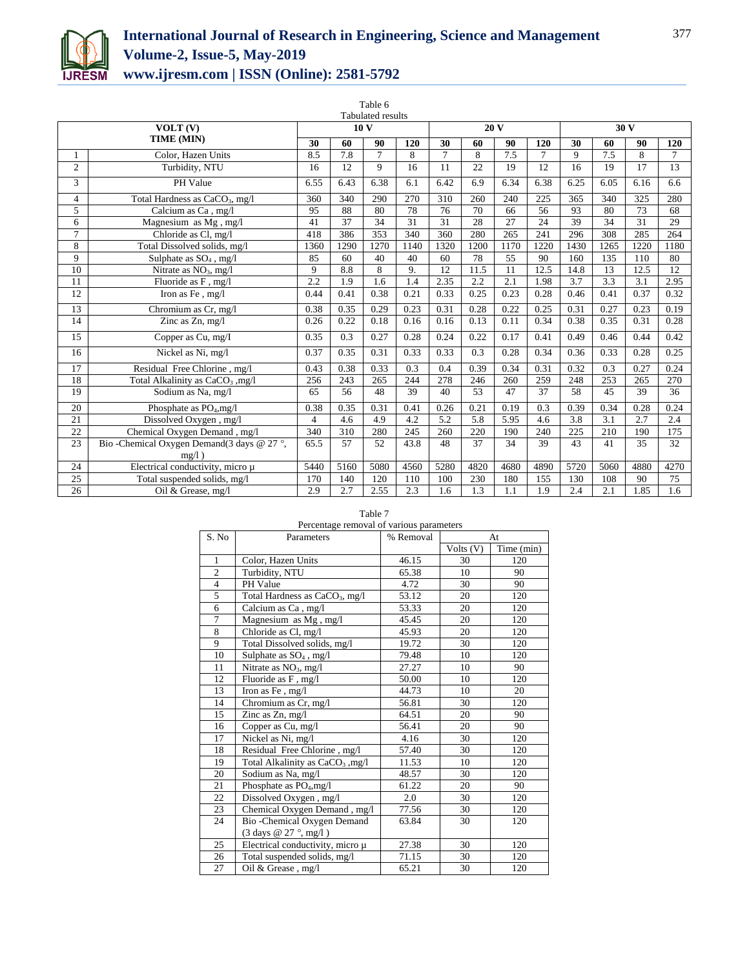

# **International Journal of Research in Engineering, Science and Management Volume-2, Issue-5, May-2019 www.ijresm.com | ISSN (Online): 2581-5792**

|                 |                                                    |      |                  | Table 6                  |      |                  |                 |                 |                |              |      |      |                |
|-----------------|----------------------------------------------------|------|------------------|--------------------------|------|------------------|-----------------|-----------------|----------------|--------------|------|------|----------------|
|                 |                                                    |      |                  | <b>Tabulated results</b> |      |                  |                 |                 |                |              |      |      |                |
| VOLT(V)         |                                                    |      |                  | 10 <sub>V</sub>          |      | 20 V             |                 |                 |                | 30 V         |      |      |                |
| TIME (MIN)      |                                                    |      | 60               | 90                       | 120  | 30               | 60              | 90              | 120            | 30           | 60   | 90   | 120            |
|                 | Color, Hazen Units                                 | 8.5  | 7.8              | $\overline{7}$           | 8    | $\overline{7}$   | 8               | 7.5             | $\overline{7}$ | $\mathbf{Q}$ | 7.5  | 8    | $\overline{7}$ |
| $\overline{c}$  | Turbidity, NTU                                     | 16   | 12               | 9                        | 16   | 11               | 22              | 19              | 12             | 16           | 19   | 17   | 13             |
| 3               | PH Value                                           | 6.55 | 6.43             | 6.38                     | 6.1  | 6.42             | 6.9             | 6.34            | 6.38           | 6.25         | 6.05 | 6.16 | 6.6            |
| 4               | Total Hardness as CaCO <sub>3</sub> , mg/l         | 360  | 340              | 290                      | 270  | 310              | 260             | 240             | 225            | 365          | 340  | 325  | 280            |
| 5               | Calcium as Ca, mg/l                                | 95   | 88               | 80                       | 78   | 76               | 70              | 66              | 56             | 93           | 80   | 73   | 68             |
| 6               | Magnesium as Mg, mg/l                              | 41   | 37               | 34                       | 31   | 31               | 28              | 27              | 24             | 39           | 34   | 31   | 29             |
| $\overline{7}$  | Chloride as Cl, mg/l                               | 418  | 386              | 353                      | 340  | 360              | 280             | 265             | 241            | 296          | 308  | 285  | 264            |
| 8               | Total Dissolved solids, mg/l                       | 1360 | 1290             | 1270                     | 1140 | 1320             | 1200            | 1170            | 1220           | 1430         | 1265 | 1220 | 1180           |
| 9               | Sulphate as $SO_4$ , mg/l                          | 85   | 60               | 40                       | 40   | 60               | 78              | $\overline{55}$ | 90             | 160          | 135  | 110  | 80             |
| 10              | Nitrate as $NO3$ , mg/l                            | 9    | 8.8              | $\overline{8}$           | 9.   | $\overline{12}$  | 11.5            | $\overline{11}$ | 12.5           | 14.8         | 13   | 12.5 | 12             |
| 11              | Fluoride as F, mg/l                                | 2.2  | 1.9              | 1.6                      | 1.4  | 2.35             | 2.2             | 2.1             | 1.98           | 3.7          | 3.3  | 3.1  | 2.95           |
| 12              | Iron as Fe, mg/l                                   | 0.44 | 0.41             | 0.38                     | 0.21 | 0.33             | 0.25            | 0.23            | 0.28           | 0.46         | 0.41 | 0.37 | 0.32           |
| 13              | Chromium as Cr, mg/l                               | 0.38 | 0.35             | 0.29                     | 0.23 | 0.31             | 0.28            | 0.22            | 0.25           | 0.31         | 0.27 | 0.23 | 0.19           |
| 14              | Zinc as Zn, mg/l                                   | 0.26 | 0.22             | 0.18                     | 0.16 | 0.16             | 0.13            | 0.11            | 0.34           | 0.38         | 0.35 | 0.31 | 0.28           |
| 15              | Copper as Cu, mg/I                                 | 0.35 | 0.3              | 0.27                     | 0.28 | 0.24             | 0.22            | 0.17            | 0.41           | 0.49         | 0.46 | 0.44 | 0.42           |
| 16              | Nickel as Ni, mg/l                                 | 0.37 | 0.35             | 0.31                     | 0.33 | 0.33             | 0.3             | 0.28            | 0.34           | 0.36         | 0.33 | 0.28 | 0.25           |
| 17              | Residual Free Chlorine, mg/l                       | 0.43 | 0.38             | 0.33                     | 0.3  | 0.4              | 0.39            | 0.34            | 0.31           | 0.32         | 0.3  | 0.27 | 0.24           |
| 18              | Total Alkalinity as CaCO <sub>3</sub> , mg/l       | 256  | 243              | 265                      | 244  | $\overline{278}$ | 246             | 260             | 259            | 248          | 253  | 265  | 270            |
| 19              | Sodium as Na, mg/l                                 | 65   | 56               | 48                       | 39   | 40               | $\overline{53}$ | 47              | 37             | 58           | 45   | 39   | 36             |
| 20              | Phosphate as $PO_4$ , mg/l                         | 0.38 | 0.35             | 0.31                     | 0.41 | 0.26             | 0.21            | 0.19            | 0.3            | 0.39         | 0.34 | 0.28 | 0.24           |
| 21              | Dissolved Oxygen, mg/l                             | 4    | 4.6              | 4.9                      | 4.2  | 5.2              | 5.8             | 5.95            | 4.6            | 3.8          | 3.1  | 2.7  | 2.4            |
| 22              | Chemical Oxygen Demand, mg/l                       | 340  | 310              | 280                      | 245  | 260              | 220             | 190             | 240            | 225          | 210  | 190  | 175            |
| 23              | Bio-Chemical Oxygen Demand(3 days @ 27 °,<br>mg/l) | 65.5 | 57               | 52                       | 43.8 | 48               | 37              | 34              | 39             | 43           | 41   | 35   | 32             |
| 24              | Electrical conductivity, micro µ                   | 5440 | 5160             | 5080                     | 4560 | 5280             | 4820            | 4680            | 4890           | 5720         | 5060 | 4880 | 4270           |
| 25              | Total suspended solids, mg/l                       | 170  | 140              | 120                      | 110  | 100              | 230             | 180             | 155            | 130          | 108  | 90   | 75             |
| $\overline{26}$ | Oil & Grease, mg/l                                 | 2.9  | $\overline{2.7}$ | 2.55                     | 2.3  | 1.6              | 1.3             | 1.1             | 1.9            | 2.4          | 2.1  | 1.85 | 1.6            |

| Percentage removal of various parameters |                                            |           |           |            |  |  |  |
|------------------------------------------|--------------------------------------------|-----------|-----------|------------|--|--|--|
| S. No                                    | Parameters                                 | % Removal |           | At         |  |  |  |
|                                          |                                            |           | Volts (V) | Time (min) |  |  |  |
| $\mathbf{1}$                             | Color, Hazen Units                         | 46.15     | 30        | 120        |  |  |  |
| $\overline{c}$                           | Turbidity, NTU                             | 65.38     | 10        | 90         |  |  |  |
| $\overline{4}$                           | PH Value                                   | 4.72      | 30        | 90         |  |  |  |
| 5                                        | Total Hardness as CaCO <sub>3</sub> , mg/l | 53.12     | 20        | 120        |  |  |  |
| 6                                        | Calcium as Ca, mg/l                        | 53.33     | 20        | 120        |  |  |  |
| $\overline{7}$                           | Magnesium as Mg, mg/l                      | 45.45     | 20        | 120        |  |  |  |
| 8                                        | Chloride as Cl, mg/l                       | 45.93     | 20        | 120        |  |  |  |
| 9                                        | Total Dissolved solids, mg/l               | 19.72     | 30        | 120        |  |  |  |
| 10                                       | Sulphate as $SO_4$ , mg/l                  | 79.48     | 10        | 120        |  |  |  |
| 11                                       | Nitrate as $NO3$ , mg/l                    | 27.27     | 10        | 90         |  |  |  |
| 12                                       | Fluoride as F, mg/l                        | 50.00     | 10        | 120        |  |  |  |
| 13                                       | Iron as Fe, mg/l                           | 44.73     | 10        | 20         |  |  |  |
| 14                                       | Chromium as Cr, mg/l                       | 56.81     | 30        | 120        |  |  |  |
| 15                                       | Zinc as $Zn$ , mg/l                        | 64.51     | 20        | 90         |  |  |  |
| 16                                       | Copper as Cu, mg/l                         | 56.41     | 20        | 90         |  |  |  |
| 17                                       | Nickel as Ni, mg/l                         | 4.16      | 30        | 120        |  |  |  |
| 18                                       | Residual Free Chlorine, mg/l               | 57.40     | 30        | 120        |  |  |  |
| 19                                       | Total Alkalinity as $CaCO3$ , mg/l         | 11.53     | 10        | 120        |  |  |  |
| 20                                       | Sodium as Na, mg/l                         | 48.57     | 30        | 120        |  |  |  |
| 21                                       | Phosphate as PO <sub>4</sub> , mg/l        | 61.22     | 20        | 90         |  |  |  |
| 22                                       | Dissolved Oxygen, mg/l                     | 2.0       | 30        | 120        |  |  |  |
| 23                                       | Chemical Oxygen Demand, mg/l               | 77.56     | 30        | 120        |  |  |  |
| 24                                       | Bio -Chemical Oxygen Demand                | 63.84     | 30        | 120        |  |  |  |
|                                          | (3 days @ 27 °, mg/l)                      |           |           |            |  |  |  |
| 25                                       | Electrical conductivity, micro µ           | 27.38     | 30        | 120        |  |  |  |
| 26                                       | Total suspended solids, mg/l               | 71.15     | 30        | 120        |  |  |  |
| 27                                       | Oil & Grease, mg/l                         | 65.21     | 30        | 120        |  |  |  |

### Table 7 Percentage removal of various parameters